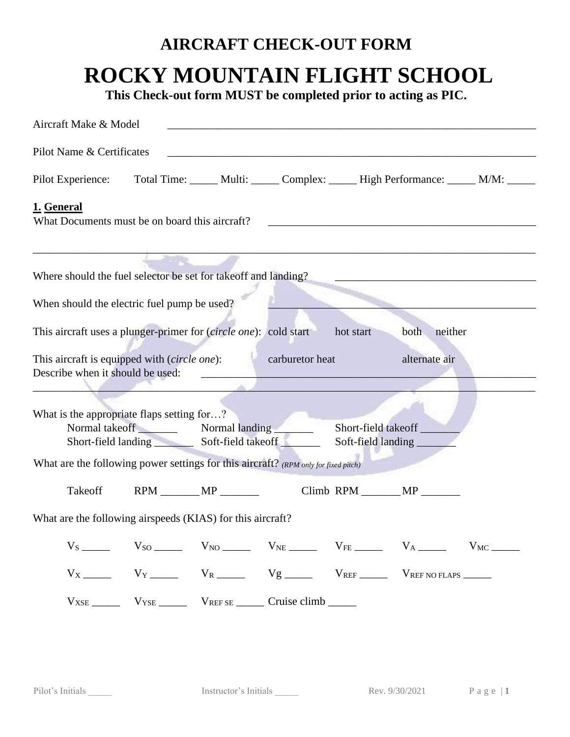**This Check-out form MUST be completed prior to acting as PIC.**

| Aircraft Make & Model                                                                              |                                                                                                           |  |                                                                                                                                                              |           |                 |  |
|----------------------------------------------------------------------------------------------------|-----------------------------------------------------------------------------------------------------------|--|--------------------------------------------------------------------------------------------------------------------------------------------------------------|-----------|-----------------|--|
| Pilot Name & Certificates                                                                          |                                                                                                           |  |                                                                                                                                                              |           |                 |  |
| Pilot Experience: Total Time: _____ Multi: _____ Complex: _____ High Performance: _____ M/M: _____ |                                                                                                           |  |                                                                                                                                                              |           |                 |  |
| 1. General<br>What Documents must be on board this aircraft?                                       |                                                                                                           |  |                                                                                                                                                              |           |                 |  |
| Where should the fuel selector be set for takeoff and landing?                                     |                                                                                                           |  |                                                                                                                                                              |           |                 |  |
| When should the electric fuel pump be used?                                                        |                                                                                                           |  |                                                                                                                                                              |           |                 |  |
| This aircraft uses a plunger-primer for (circle one): cold start                                   |                                                                                                           |  |                                                                                                                                                              | hot start | neither<br>both |  |
| This aircraft is equipped with (circle one): carburetor heat                                       |                                                                                                           |  |                                                                                                                                                              |           | alternate air   |  |
| Describe when it should be used:                                                                   |                                                                                                           |  |                                                                                                                                                              |           |                 |  |
|                                                                                                    |                                                                                                           |  |                                                                                                                                                              |           |                 |  |
|                                                                                                    |                                                                                                           |  |                                                                                                                                                              |           |                 |  |
|                                                                                                    | What is the appropriate flaps setting for?<br>Normal takeoff Normal landing Normal<br>Short-field takeoff |  |                                                                                                                                                              |           |                 |  |
| Short-field landing Soft-field takeoff                                                             |                                                                                                           |  | Soft-field landing                                                                                                                                           |           |                 |  |
| What are the following power settings for this aircraft? (RPM only for fixed pitch)                |                                                                                                           |  |                                                                                                                                                              |           |                 |  |
| Takeoff                                                                                            |                                                                                                           |  |                                                                                                                                                              |           | Climb RPM MP    |  |
| What are the following airspeeds (KIAS) for this aircraft?                                         |                                                                                                           |  |                                                                                                                                                              |           |                 |  |
|                                                                                                    |                                                                                                           |  | $V_S$ $V_{SO}$ $V_{NO}$ $V_{NO}$ $V_{NE}$ $V_{FE}$ $V_{AE}$ $V_A$ $V_{M}$ $V_{MC}$                                                                           |           |                 |  |
|                                                                                                    |                                                                                                           |  | $V_X$ V <sub>Y</sub> V <sub>Y</sub> V <sub>R</sub> V <sub>R</sub> V <sub>g</sub> V <sub>REF</sub> V <sub>REF</sub> V <sub>REF</sub> V <sub>REF</sub> NOFLAPS |           |                 |  |
|                                                                                                    |                                                                                                           |  | $V_{XSE}$ $V_{YSE}$ $V_{REFSE}$ $Cruise climb$ $Cruise$                                                                                                      |           |                 |  |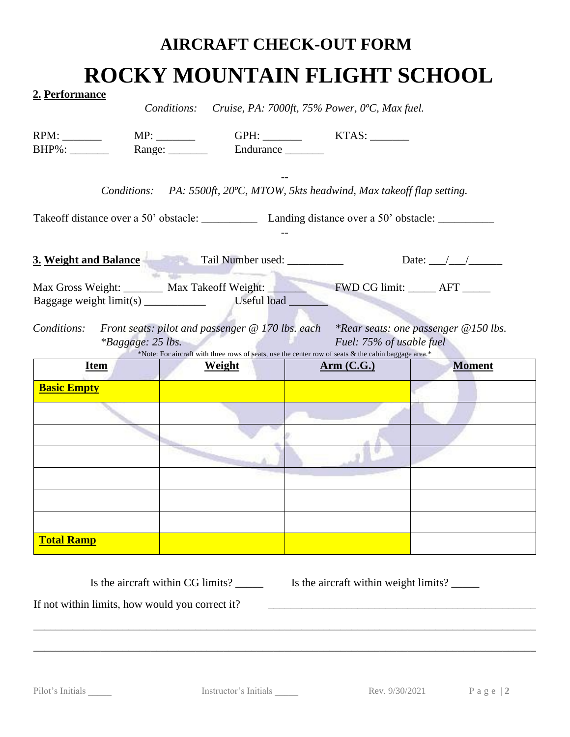| <u>2. Performance</u>                                               |                                                                                                                       |                   |                                                                  |               |  |
|---------------------------------------------------------------------|-----------------------------------------------------------------------------------------------------------------------|-------------------|------------------------------------------------------------------|---------------|--|
|                                                                     | Conditions:                                                                                                           |                   | Cruise, PA: 7000ft, 75% Power, 0°C, Max fuel.                    |               |  |
|                                                                     |                                                                                                                       |                   |                                                                  |               |  |
| $BHP\%$ :                                                           | Range: ________                                                                                                       | Endurance _______ |                                                                  |               |  |
|                                                                     |                                                                                                                       |                   |                                                                  |               |  |
| Conditions:                                                         |                                                                                                                       |                   | PA: 5500ft, 20°C, MTOW, 5kts headwind, Max take of flap setting. |               |  |
|                                                                     |                                                                                                                       |                   |                                                                  |               |  |
|                                                                     |                                                                                                                       |                   |                                                                  |               |  |
| 3. Weight and Balance Tail Number used: _________                   |                                                                                                                       |                   | Date: $\angle$ / /                                               |               |  |
|                                                                     | and the Company                                                                                                       |                   |                                                                  |               |  |
| Max Gross Weight: Max Takeoff Weight: FWD CG limit: _____ AFT _____ |                                                                                                                       |                   |                                                                  |               |  |
| Baggage weight $\lim_{s \to \infty}$ $\lim_{s \to \infty}$          |                                                                                                                       | Useful load       |                                                                  |               |  |
| <i>*Baggage: 25 lbs.</i><br><b>Item</b>                             | *Note: For aircraft with three rows of seats, use the center row of seats & the cabin baggage area.*<br><b>Weight</b> |                   | Fuel: 75% of usable fuel<br><u>Arm (C.G.)</u>                    | <b>Moment</b> |  |
| <b>Basic Empty</b>                                                  |                                                                                                                       |                   |                                                                  |               |  |
|                                                                     |                                                                                                                       |                   |                                                                  |               |  |
|                                                                     |                                                                                                                       |                   |                                                                  |               |  |
|                                                                     |                                                                                                                       |                   |                                                                  |               |  |
|                                                                     |                                                                                                                       |                   |                                                                  |               |  |
|                                                                     |                                                                                                                       |                   |                                                                  |               |  |
|                                                                     |                                                                                                                       |                   |                                                                  |               |  |
|                                                                     |                                                                                                                       |                   |                                                                  |               |  |
| <b>Total Ramp</b>                                                   |                                                                                                                       |                   |                                                                  |               |  |
|                                                                     |                                                                                                                       |                   |                                                                  |               |  |
|                                                                     |                                                                                                                       |                   |                                                                  |               |  |

Is the aircraft within CG limits? \_\_\_\_\_ Is the aircraft within weight limits? \_\_\_\_\_ If not within limits, how would you correct it? \_\_\_\_\_\_\_\_\_\_\_\_\_\_\_\_\_\_\_\_\_\_\_\_\_\_\_\_\_\_\_\_\_\_\_\_\_\_\_\_\_\_\_\_\_\_\_\_

\_\_\_\_\_\_\_\_\_\_\_\_\_\_\_\_\_\_\_\_\_\_\_\_\_\_\_\_\_\_\_\_\_\_\_\_\_\_\_\_\_\_\_\_\_\_\_\_\_\_\_\_\_\_\_\_\_\_\_\_\_\_\_\_\_\_\_\_\_\_\_\_\_\_\_\_\_\_\_\_\_\_\_\_\_\_\_\_\_\_

\_\_\_\_\_\_\_\_\_\_\_\_\_\_\_\_\_\_\_\_\_\_\_\_\_\_\_\_\_\_\_\_\_\_\_\_\_\_\_\_\_\_\_\_\_\_\_\_\_\_\_\_\_\_\_\_\_\_\_\_\_\_\_\_\_\_\_\_\_\_\_\_\_\_\_\_\_\_\_\_\_\_\_\_\_\_\_\_\_\_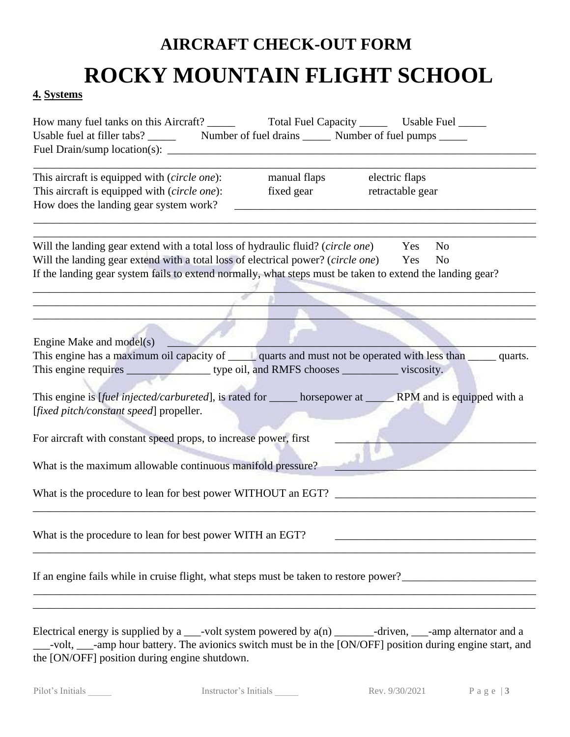#### **4. Systems**

| This aircraft is equipped with (circle one):<br>This aircraft is equipped with (circle one):<br>How does the landing gear system work?                                                                                                                                                                                                                                                                                                                                                                         | manual flaps<br>fixed gear | electric flaps<br>retractable gear |
|----------------------------------------------------------------------------------------------------------------------------------------------------------------------------------------------------------------------------------------------------------------------------------------------------------------------------------------------------------------------------------------------------------------------------------------------------------------------------------------------------------------|----------------------------|------------------------------------|
| Will the landing gear extend with a total loss of hydraulic fluid? (circle one) Yes<br>Will the landing gear extend with a total loss of electrical power? (circle one) Yes<br>If the landing gear system fails to extend normally, what steps must be taken to extend the landing gear?                                                                                                                                                                                                                       |                            | N <sub>o</sub><br>N <sub>0</sub>   |
|                                                                                                                                                                                                                                                                                                                                                                                                                                                                                                                |                            |                                    |
| Engine Make and model(s)<br>This engine has a maximum oil capacity of ______ quarts and must not be operated with less than ______ quarts.<br>This engine is [fuel injected/carbureted], is rated for ______ horsepower at ________ RPM and is equipped with a<br>[fixed pitch/constant speed] propeller.<br>For aircraft with constant speed props, to increase power, first<br>What is the maximum allowable continuous manifold pressure?<br>What is the procedure to lean for best power WITHOUT an EGT? _ |                            |                                    |
| What is the procedure to lean for best power WITH an EGT?                                                                                                                                                                                                                                                                                                                                                                                                                                                      |                            |                                    |
|                                                                                                                                                                                                                                                                                                                                                                                                                                                                                                                |                            |                                    |
| Electrical energy is supplied by a $\_\_\_$ -volt system powered by $a(n) \_\_\_\_$ -driven, $\_\_\_$ -amp alternator and a<br>-volt, ____-amp hour battery. The avionics switch must be in the [ON/OFF] position during engine start, and                                                                                                                                                                                                                                                                     |                            |                                    |

the [ON/OFF] position during engine shutdown.